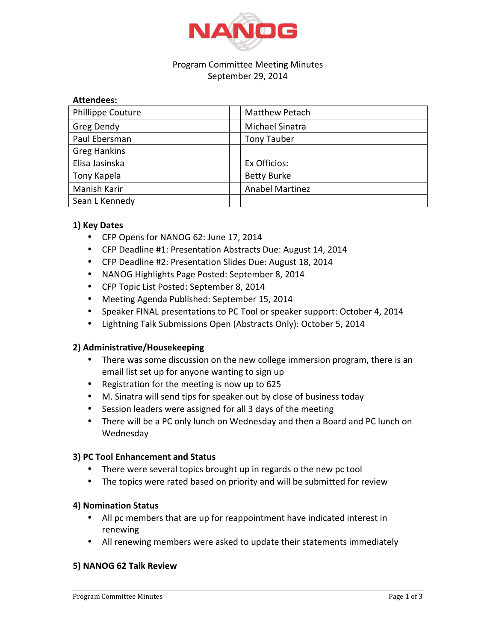

### Program Committee Meeting Minutes September 29, 2014

### **Attendees:**

| <b>Phillippe Couture</b> | <b>Matthew Petach</b>  |
|--------------------------|------------------------|
| <b>Greg Dendy</b>        | Michael Sinatra        |
| Paul Ebersman            | <b>Tony Tauber</b>     |
| <b>Greg Hankins</b>      |                        |
| Elisa Jasinska           | Ex Officios:           |
| Tony Kapela              | <b>Betty Burke</b>     |
| Manish Karir             | <b>Anabel Martinez</b> |
| Sean L Kennedy           |                        |

# **1) Key Dates**

- CFP Opens for NANOG 62: June 17, 2014
- CFP Deadline #1: Presentation Abstracts Due: August 14, 2014
- CFP Deadline #2: Presentation Slides Due: August 18, 2014
- NANOG Highlights Page Posted: September 8, 2014
- CFP Topic List Posted: September 8, 2014
- Meeting Agenda Published: September 15, 2014
- Speaker FINAL presentations to PC Tool or speaker support: October 4, 2014
- Lightning Talk Submissions Open (Abstracts Only): October 5, 2014

# **2) Administrative/Housekeeping**

- There was some discussion on the new college immersion program, there is an email list set up for anyone wanting to sign up
- Registration for the meeting is now up to 625
- M. Sinatra will send tips for speaker out by close of business today
- Session leaders were assigned for all 3 days of the meeting
- There will be a PC only lunch on Wednesday and then a Board and PC lunch on Wednesday

# **3) PC Tool Enhancement and Status**

- There were several topics brought up in regards o the new pc tool
- The topics were rated based on priority and will be submitted for review

# **4) Nomination Status**

- All pc members that are up for reappointment have indicated interest in renewing
- All renewing members were asked to update their statements immediately

# **5) NANOG 62 Talk Review**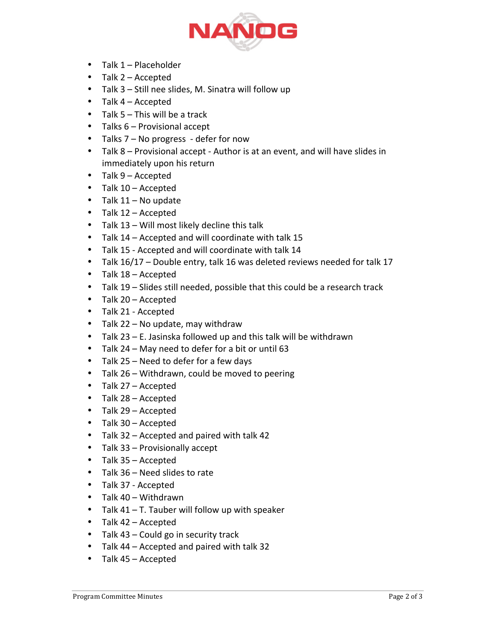

- Talk 1 Placeholder
- Talk 2 Accepted
- Talk  $3 -$  Still nee slides, M. Sinatra will follow up
- Talk  $4 -$  Accepted
- Talk  $5 -$  This will be a track
- Talks 6 Provisional accept
- Talks  $7 No$  progress defer for now
- Talk 8 Provisional accept Author is at an event, and will have slides in immediately upon his return
- Talk 9 Accepted
- Talk 10 Accepted
- Talk  $11 -$  No update
- Talk  $12 -$  Accepted
- Talk  $13 -$  Will most likely decline this talk
- Talk 14 Accepted and will coordinate with talk 15
- Talk 15 Accepted and will coordinate with talk 14
- Talk  $16/17$  Double entry, talk 16 was deleted reviews needed for talk 17
- Talk  $18 -$  Accepted
- Talk  $19$  Slides still needed, possible that this could be a research track
- Talk 20 Accepted
- Talk 21 Accepted
- Talk  $22 No$  update, may withdraw
- Talk  $23 E$ . Jasinska followed up and this talk will be withdrawn
- Talk 24 May need to defer for a bit or until 63
- Talk  $25 -$  Need to defer for a few days
- Talk 26 Withdrawn, could be moved to peering
- Talk  $27 -$  Accepted
- Talk 28 Accepted
- Talk 29 Accepted
- Talk 30 Accepted
- Talk 32 Accepted and paired with talk 42
- Talk 33 Provisionally accept
- Talk  $35 -$  Accepted
- Talk 36 Need slides to rate
- Talk 37 Accepted
- Talk  $40 -$  Withdrawn
- Talk  $41 T$ . Tauber will follow up with speaker
- Talk 42 Accepted
- Talk  $43$  Could go in security track
- Talk 44 Accepted and paired with talk 32
- Talk  $45 -$  Accepted